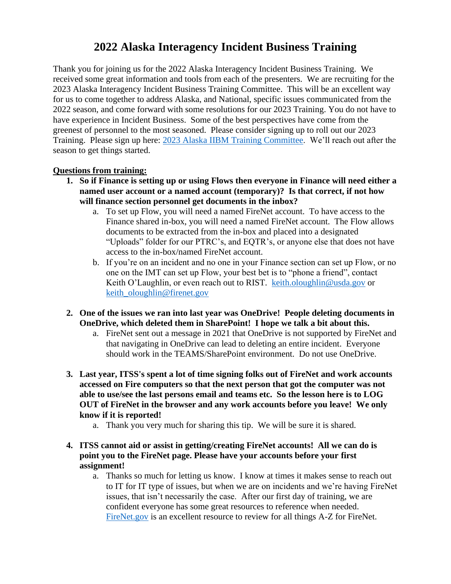## **2022 Alaska Interagency Incident Business Training**

Thank you for joining us for the 2022 Alaska Interagency Incident Business Training. We received some great information and tools from each of the presenters. We are recruiting for the 2023 Alaska Interagency Incident Business Training Committee. This will be an excellent way for us to come together to address Alaska, and National, specific issues communicated from the 2022 season, and come forward with some resolutions for our 2023 Training. You do not have to have experience in Incident Business. Some of the best perspectives have come from the greenest of personnel to the most seasoned. Please consider signing up to roll out our 2023 Training. Please sign up here: [2023 Alaska IIBM Training Committee.](https://forms.office.com/g/dYfUPLig6c) We'll reach out after the season to get things started.

## **Questions from training:**

- **1. So if Finance is setting up or using Flows then everyone in Finance will need either a named user account or a named account (temporary)? Is that correct, if not how will finance section personnel get documents in the inbox?**
	- a. To set up Flow, you will need a named FireNet account. To have access to the Finance shared in-box, you will need a named FireNet account. The Flow allows documents to be extracted from the in-box and placed into a designated "Uploads" folder for our PTRC's, and EQTR's, or anyone else that does not have access to the in-box/named FireNet account.
	- b. If you're on an incident and no one in your Finance section can set up Flow, or no one on the IMT can set up Flow, your best bet is to "phone a friend", contact Keith O'Laughlin, or even reach out to RIST. [keith.oloughlin@usda.gov](mailto:keith.oloughlin@usda.gov) or [keith\\_oloughlin@firenet.gov](mailto:keith_oloughlin@firenet.gov)
- **2. One of the issues we ran into last year was OneDrive! People deleting documents in OneDrive, which deleted them in SharePoint! I hope we talk a bit about this.**
	- a. FireNet sent out a message in 2021 that OneDrive is not supported by FireNet and that navigating in OneDrive can lead to deleting an entire incident. Everyone should work in the TEAMS/SharePoint environment. Do not use OneDrive.
- **3. Last year, ITSS's spent a lot of time signing folks out of FireNet and work accounts accessed on Fire computers so that the next person that got the computer was not able to use/see the last persons email and teams etc. So the lesson here is to LOG OUT of FireNet in the browser and any work accounts before you leave! We only know if it is reported!**
	- a. Thank you very much for sharing this tip. We will be sure it is shared.
- **4. ITSS cannot aid or assist in getting/creating FireNet accounts! All we can do is point you to the FireNet page. Please have your accounts before your first assignment!**
	- a. Thanks so much for letting us know. I know at times it makes sense to reach out to IT for IT type of issues, but when we are on incidents and we're having FireNet issues, that isn't necessarily the case. After our first day of training, we are confident everyone has some great resources to reference when needed. [FireNet.gov](https://www.firenet.gov/) is an excellent resource to review for all things A-Z for FireNet.